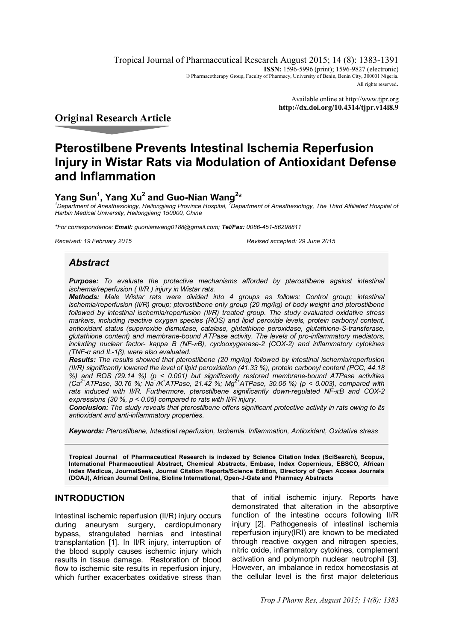Tropical Journal of Pharmaceutical Research August 2015; 14 (8): 1383-1391 **ISSN:** 1596-5996 (print); 1596-9827 (electronic) © Pharmacotherapy Group, Faculty of Pharmacy, University of Benin, Benin City, 300001 Nigeria. All rights reserved.

> Available online at http://www.tjpr.org **http://dx.doi.org/10.4314/tjpr.v14i8.9**

**Original Research Article**

# **Pterostilbene Prevents Intestinal Ischemia Reperfusion Injury in Wistar Rats via Modulation of Antioxidant Defense and Inflammation**

## **Yang Sun<sup>1</sup> , Yang Xu<sup>2</sup> and Guo-Nian Wang<sup>2</sup> \***

*<sup>1</sup>Department of Anesthesiology, Heilongjiang Province Hospital, <sup>2</sup>Department of Anesthesiology, The Third Affiliated Hospital of Harbin Medical University, Heilongjiang 150000, China*

*\*For correspondence: Email: guonianwang0188@gmail.com; Tel/Fax: 0086-451-86298811*

*Received: 19 February 2015 Revised accepted: 29 June 2015*

## *Abstract*

*Purpose: To evaluate the protective mechanisms afforded by pterostilbene against intestinal ischemia/reperfusion ( II/R ) injury in Wistar rats.* 

*Methods: Male Wistar rats were divided into 4 groups as follows: Control group; intestinal ischemia/reperfusion (II/R) group; pterostilbene only group (20 mg/kg) of body weight and pterostilbene followed by intestinal ischemia/reperfusion (II/R) treated group. The study evaluated oxidative stress markers, including reactive oxygen species (ROS) and lipid peroxide levels, protein carbonyl content, antioxidant status (superoxide dismutase, catalase, glutathione peroxidase, glutathione-S-transferase, glutathione content) and membrane-bound ATPase activity. The levels of pro-inflammatory mediators, including nuclear factor- kappa B (NF-ߢB), cyclooxygenase-2 (COX-2) and inflammatory cytokines (TNF-α and IL-1β), were also evaluated.* 

*Results: The results showed that pterostilbene (20 mg/kg) followed by intestinal ischemia/reperfusion (II/R) significantly lowered the level of lipid peroxidation (41.33 %), protein carbonyl content (PCC, 44.18 %) and ROS (29.14 %) (p < 0.001) but significantly restored membrane-bound ATPase activities (Ca2+ATPase, 30.76 %; Na<sup>+</sup> /K<sup>+</sup>ATPase, 21.42 %; Mg2+ATPase, 30.06 %) (p < 0.003), compared with rats induced with II/R. Furthermore, pterostilbene significantly down-regulated NF-ߢB and COX-2 expressions (30 %, p < 0.05) compared to rats with II/R injury.*

*Conclusion: The study reveals that pterostilbene offers significant protective activity in rats owing to its antioxidant and anti-inflammatory properties.*

*Keywords: Pterostilbene, Intestinal reperfusion, Ischemia, Inflammation, Antioxidant, Oxidative stress*

**Tropical Journal of Pharmaceutical Research is indexed by Science Citation Index (SciSearch), Scopus, International Pharmaceutical Abstract, Chemical Abstracts, Embase, Index Copernicus, EBSCO, African Index Medicus, JournalSeek, Journal Citation Reports/Science Edition, Directory of Open Access Journals (DOAJ), African Journal Online, Bioline International, Open-J-Gate and Pharmacy Abstracts**

## **INTRODUCTION**

Intestinal ischemic reperfusion (II/R) injury occurs during aneurysm surgery, cardiopulmonary bypass, strangulated hernias and intestinal transplantation [1]. In II/R injury, interruption of the blood supply causes ischemic injury which results in tissue damage. Restoration of blood flow to ischemic site results in reperfusion injury, which further exacerbates oxidative stress than

that of initial ischemic injury. Reports have demonstrated that alteration in the absorptive function of the intestine occurs following II/R injury [2]. Pathogenesis of intestinal ischemia reperfusion injury(IRI) are known to be mediated through reactive oxygen and nitrogen species, nitric oxide, inflammatory cytokines, complement activation and polymorph nuclear neutrophil [3]. However, an imbalance in redox homeostasis at the cellular level is the first major deleterious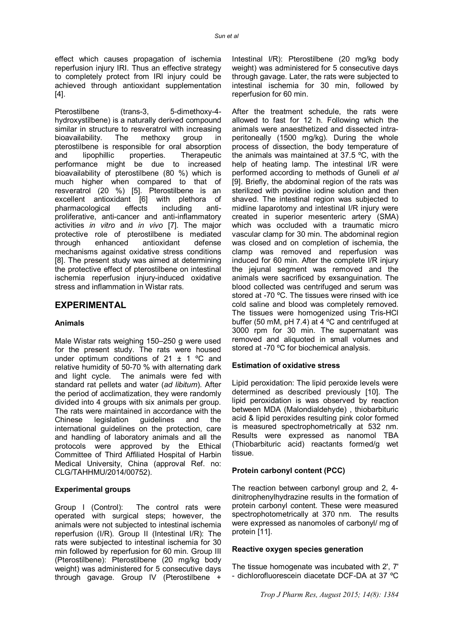effect which causes propagation of ischemia reperfusion injury IRI. Thus an effective strategy to completely protect from IRI injury could be achieved through antioxidant supplementation [4].

Pterostilbene (trans-3, 5-dimethoxy-4hydroxystilbene) is a naturally derived compound similar in structure to resveratrol with increasing bioavailability. The methoxy group in pterostilbene is responsible for oral absorption and lipophillic properties. Therapeutic performance might be due to increased bioavailability of pterostilbene (80 %) which is much higher when compared to that of resveratrol (20 %) [5]. Pterostilbene is an excellent antioxidant [6] with plethora of pharmacological effects including antiproliferative, anti-cancer and anti-inflammatory activities *in vitro* and *in vivo* [7]. The major protective role of pterostilbene is mediated through enhanced antioxidant defense mechanisms against oxidative stress conditions [8]. The present study was aimed at determining the protective effect of pterostilbene on intestinal ischemia reperfusion injury-induced oxidative stress and inflammation in Wistar rats.

## **EXPERIMENTAL**

### **Animals**

Male Wistar rats weighing 150–250 g were used for the present study. The rats were housed under optimum conditions of 21  $\pm$  1 °C and relative humidity of 50-70 % with alternating dark and light cycle. The animals were fed with standard rat pellets and water (*ad libitum*). After the period of acclimatization, they were randomly divided into 4 groups with six animals per group. The rats were maintained in accordance with the Chinese legislation guidelines and the international guidelines on the protection, care and handling of laboratory animals and all the protocols were approved by the Ethical Committee of Third Affiliated Hospital of Harbin Medical University, China (approval Ref. no: CLG/TAHHMU/2014/00752).

#### **Experimental groups**

Group I (Control): The control rats were operated with surgical steps; however, the animals were not subjected to intestinal ischemia reperfusion (I/R). Group II (Intestinal I/R): The rats were subjected to intestinal ischemia for 30 min followed by reperfusion for 60 min. Group III (Pterostilbene): Pterostilbene (20 mg/kg body weight) was administered for 5 consecutive days through gavage. Group IV (Pterostilbene +

Intestinal I/R): Pterostilbene (20 mg/kg body weight) was administered for 5 consecutive days through gavage. Later, the rats were subjected to intestinal ischemia for 30 min, followed by reperfusion for 60 min.

After the treatment schedule, the rats were allowed to fast for 12 h. Following which the animals were anaesthetized and dissected intraperitoneally (1500 mg/kg). During the whole process of dissection, the body temperature of the animals was maintained at 37.5 ºC, with the help of heating lamp. The intestinal I/R were performed according to methods of Guneli *et al* [9]. Briefly, the abdominal region of the rats was sterilized with povidine iodine solution and then shaved. The intestinal region was subjected to midline laparotomy and intestinal I/R injury were created in superior mesenteric artery (SMA) which was occluded with a traumatic micro vascular clamp for 30 min. The abdominal region was closed and on completion of ischemia, the clamp was removed and reperfusion was induced for 60 min. After the complete I/R injury the jejunal segment was removed and the animals were sacrificed by exsanguination. The blood collected was centrifuged and serum was stored at -70 °C. The tissues were rinsed with ice cold saline and blood was completely removed. The tissues were homogenized using Tris-HCl buffer (50 mM, pH 7.4) at 4 ºC and centrifuged at 3000 rpm for 30 min. The supernatant was removed and aliquoted in small volumes and stored at -70 ºC for biochemical analysis.

#### **Estimation of oxidative stress**

Lipid peroxidation: The lipid peroxide levels were determined as described previously [10]. The lipid peroxidation is was observed by reaction between MDA (Malondialdehyde) , thiobarbituric acid & lipid peroxides resulting pink color formed is measured spectrophometrically at 532 nm. Results were expressed as nanomol TBA (Thiobarbituric acid) reactants formed/g wet tissue.

#### **Protein carbonyl content (PCC)**

The reaction between carbonyl group and 2, 4 dinitrophenylhydrazine results in the formation of protein carbonyl content. These were measured spectrophotometrically at 370 nm. The results were expressed as nanomoles of carbonyl/ mg of protein [11].

#### **Reactive oxygen species generation**

The tissue homogenate was incubated with 2', 7' - dichlorofluorescein diacetate DCF-DA at 37 ºC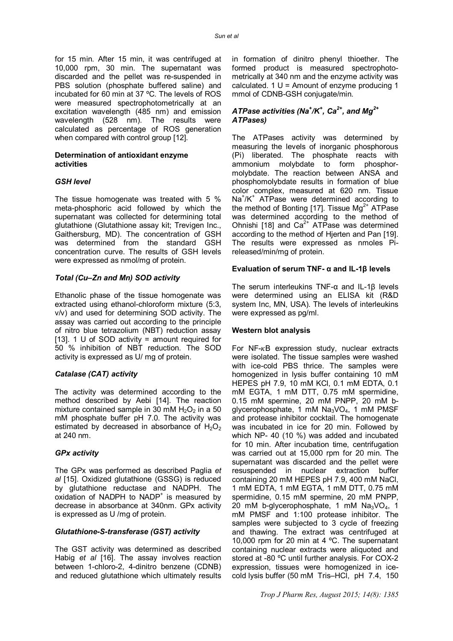for 15 min. After 15 min, it was centrifuged at 10,000 rpm, 30 min. The supernatant was discarded and the pellet was re-suspended in PBS solution (phosphate buffered saline) and incubated for 60 min at 37 ºC. The levels of ROS were measured spectrophotometrically at an excitation wavelength (485 nm) and emission wavelength (528 nm). The results were calculated as percentage of ROS generation when compared with control group [12].

#### **Determination of antioxidant enzyme activities**

#### *GSH level*

The tissue homogenate was treated with 5 % meta-phosphoric acid followed by which the supernatant was collected for determining total glutathione (Glutathione assay kit; Trevigen Inc., Gaithersburg, MD). The concentration of GSH was determined from the standard GSH concentration curve. The results of GSH levels were expressed as nmol/mg of protein.

#### *Total (Cu–Zn and Mn) SOD activity*

Ethanolic phase of the tissue homogenate was extracted using ethanol-chloroform mixture (5:3, v/v) and used for determining SOD activity. The assay was carried out according to the principle of nitro blue tetrazolium (NBT) reduction assay [13]. 1 U of SOD activity = amount required for 50 % inhibition of NBT reduction. The SOD activity is expressed as U/ mg of protein.

### *Catalase (CAT) activity*

The activity was determined according to the method described by Aebi [14]. The reaction mixture contained sample in 30 mM  $H_2O_2$  in a 50 mM phosphate buffer pH 7.0. The activity was estimated by decreased in absorbance of  $H_2O_2$ at 240 nm.

### *GPx activity*

The GPx was performed as described Paglia *et al* [15]. Oxidized glutathione (GSSG) is reduced by glutathione reductase and NADPH. The oxidation of NADPH to NADP<sup>+</sup> is measured by decrease in absorbance at 340nm. GPx activity is expressed as U /mg of protein.

#### *Glutathione-S-transferase (GST) activity*

The GST activity was determined as described Habig *et al* [16]. The assay involves reaction between 1-chloro-2, 4-dinitro benzene (CDNB) and reduced glutathione which ultimately results in formation of dinitro phenyl thioether. The formed product is measured spectrophotometrically at 340 nm and the enzyme activity was calculated.  $1 U =$  Amount of enzyme producing 1 mmol of CDNB-GSH conjugate/min.

## *ATPase activities (Na<sup>+</sup> /K<sup>+</sup> , Ca2+, and Mg2+ ATPases)*

The ATPases activity was determined by measuring the levels of inorganic phosphorous (Pi) liberated. The phosphate reacts with ammonium molybdate to form phosphormolybdate. The reaction between ANSA and phosphomolybdate results in formation of blue color complex, measured at 620 nm. Tissue Na<sup>+</sup>/K<sup>+</sup> ATPase were determined according to the method of Bonting [17]. Tissue  $Mg^{2+}$  ATPase was determined according to the method of Ohnishi [18] and  $Ca<sup>2+</sup>$  ATPase was determined according to the method of Hjerten and Pan [19]. The results were expressed as nmoles Pireleased/min/mg of protein.

#### **Evaluation of serum TNF- α and IL-1β levels**

The serum interleukins TNF-α and IL-1β levels were determined using an ELISA kit (R&D system Inc, MN, USA). The levels of interleukins were expressed as pg/ml.

#### **Western blot analysis**

For  $NF-\kappa B$  expression study, nuclear extracts were isolated. The tissue samples were washed with ice-cold PBS thrice. The samples were homogenized in lysis buffer containing 10 mM HEPES pH 7.9, 10 mM KCl, 0.1 mM EDTA, 0.1 mM EGTA, 1 mM DTT, 0.75 mM spermidine, 0.15 mM spermine, 20 mM PNPP, 20 mM bglycerophosphate, 1 mM Na<sub>3</sub>VO<sub>4</sub>, 1 mM PMSF and protease inhibitor cocktail. The homogenate was incubated in ice for 20 min. Followed by which NP- 40 (10 %) was added and incubated for 10 min. After incubation time, centrifugation was carried out at 15,000 rpm for 20 min. The supernatant was discarded and the pellet were resuspended in nuclear extraction buffer containing 20 mM HEPES pH 7.9, 400 mM NaCl, 1 mM EDTA, 1 mM EGTA, 1 mM DTT, 0.75 mM spermidine, 0.15 mM spermine, 20 mM PNPP, 20 mM b-glycerophosphate, 1 mM  $Na<sub>3</sub>VO<sub>4</sub>$ , 1 mM PMSF and 1:100 protease inhibitor. The samples were subjected to 3 cycle of freezing and thawing. The extract was centrifuged at 10,000 rpm for 20 min at 4 ºC. The supernatant containing nuclear extracts were aliquoted and stored at -80 ºC until further analysis. For COX-2 expression, tissues were homogenized in icecold lysis buffer (50 mM Tris–HCl, pH 7.4, 150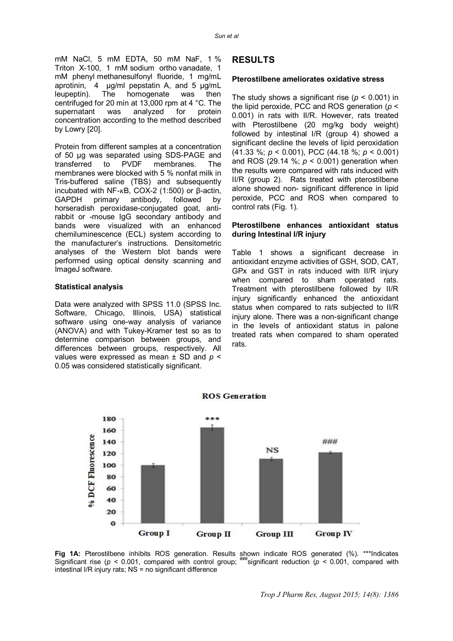mM NaCl, 5 mM EDTA, 50 mM NaF, 1 % Triton X-100, 1 mM sodium ortho vanadate, 1 mM phenyl methanesulfonyl fluoride, 1 mg/mL aprotinin, 4 µg/ml pepstatin A, and 5 µg/mL leupeptin). The homogenate was then centrifuged for 20 min at 13,000 rpm at 4 °C. The<br>supernatant was analyzed for protein supernatant was analyzed for concentration according to the method described by Lowry [20].

Protein from different samples at a concentration of 50 μg was separated using SDS-PAGE and transferred to PVDF membranes. The membranes were blocked with 5 % nonfat milk in Tris-buffered saline (TBS) and subsequently incubated with NF- $κ$ B, COX-2 (1:500) or  $β$ -actin, GAPDH primary antibody, followed by horseradish peroxidase-conjugated goat, antirabbit or -mouse IgG secondary antibody and bands were visualized with an enhanced chemiluminescence (ECL) system according to the manufacturer's instructions. Densitometric analyses of the Western blot bands were performed using optical density scanning and ImageJ software.

#### **Statistical analysis**

Data were analyzed with SPSS 11.0 (SPSS Inc. Software, Chicago, Illinois, USA) statistical software using one-way analysis of variance (ANOVA) and with Tukey-Kramer test so as to determine comparison between groups, and differences between groups, respectively. All values were expressed as mean ± SD and *p* < 0.05 was considered statistically significant.

## **RESULTS**

#### **Pterostilbene ameliorates oxidative stress**

The study shows a significant rise ( $p < 0.001$ ) in the lipid peroxide, PCC and ROS generation (*p* < 0.001) in rats with II/R. However, rats treated with Pterostilbene (20 mg/kg body weight) followed by intestinal I/R (group 4) showed a significant decline the levels of lipid peroxidation (41.33 %; *p* < 0.001), PCC (44.18 %; *p* < 0.001) and ROS (29.14 %; *p* < 0.001) generation when the results were compared with rats induced with II/R (group 2). Rats treated with pterostilbene alone showed non- significant difference in lipid peroxide, PCC and ROS when compared to control rats (Fig. 1).

#### **Pterostilbene enhances antioxidant status during Intestinal I/R injury**

Table 1 shows a significant decrease in antioxidant enzyme activities of GSH, SOD, CAT, GPx and GST in rats induced with II/R injury when compared to sham operated rats. Treatment with pterostilbene followed by II/R injury significantly enhanced the antioxidant status when compared to rats subjected to II/R injury alone. There was a non-significant change in the levels of antioxidant status in palone treated rats when compared to sham operated rats.



**ROS** Generation

**Fig 1A:** Pterostilbene inhibits ROS generation. Results shown indicate ROS generated (%). \*\*\*Indicates Significant rise ( $p < 0.001$ , compared with control group;  $\frac{m}{100}$  reduction ( $p < 0.001$ , compared with intestinal I/R injury rats; NS = no significant difference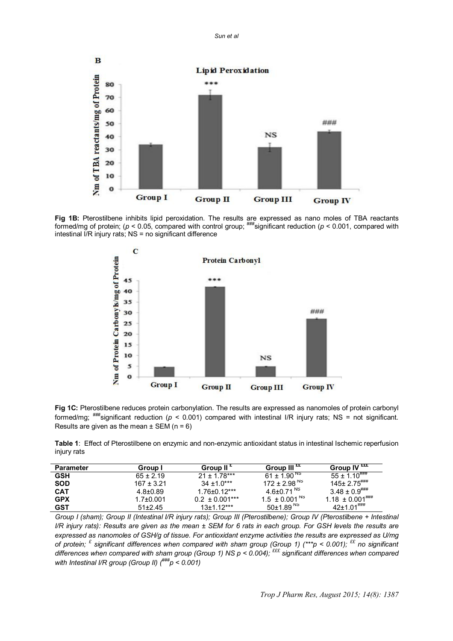*Sun et al*



**Fig 1B:** Pterostilbene inhibits lipid peroxidation. The results are expressed as nano moles of TBA reactants formed/mg of protein; (*p* < 0.05, compared with control group; ###significant reduction (*p* < 0.001, compared with intestinal I/R injury rats; NS = no significant difference



**Fig 1C:** Pterostilbene reduces protein carbonylation. The results are expressed as nanomoles of protein carbonyl formed/mg; ###significant reduction (*p* < 0.001) compared with intestinal I/R injury rats; NS = not significant. Results are given as the mean  $\pm$  SEM (n = 6)

**Table 1**: Effect of Pterostilbene on enzymic and non-enzymic antioxidant status in intestinal Ischemic reperfusion injury rats

| Parameter  | Group I         | Group II <sup>t</sup> | Group III $^{\rm \tt{xx}}$    | Group $\overline{\mathsf{IV}}^\mathtt{t\text{t\text{t}}}$        |
|------------|-----------------|-----------------------|-------------------------------|------------------------------------------------------------------|
| <b>GSH</b> | $65 \pm 2.19$   | $21 + 1.78***$        | 61 ± 1.90 $^{\text{NS}}$      | $55 \pm 1.10^{+}$                                                |
| <b>SOD</b> | $167 \pm 3.21$  | $34 + 1.0***$         | 172 ± 2.98 $^{\text{NS}}$     | $145 \pm 2.75$ ###                                               |
| <b>CAT</b> | $4.8 \pm 0.89$  | 1.76±0.12***          | 4.6+0.71 <sup>NS</sup>        | $3.48 \pm 0.9$ $\stackrel{+}{\rule{0pt}{0.5pt}}\phantom{}^{***}$ |
| <b>GPX</b> | $1.7{\pm}0.001$ | $0.2 \pm 0.001***$    | 1.5 $\pm$ 0.001 <sup>NS</sup> | $1.18 \pm 0.001^{+}$                                             |
| <b>GST</b> | $51\pm2.45$     | $13+1.12***$          | $50\pm1.89^{N_S}$             | $42+1.01$ <sup>###</sup>                                         |

*Group I (sham); Group II (Intestinal I/R injury rats); Group III (Pterostilbene); Group IV (Pterostilbene + Intestinal I/R injury rats): Results are given as the mean ± SEM for 6 rats in each group. For GSH levels the results are expressed as nanomoles of GSH/g of tissue. For antioxidant enzyme activities the results are expressed as U/mg of protein; £ significant differences when compared with sham group (Group 1) (\*\*\*p < 0.001); ££ no significant differences when compared with sham group (Group 1) NS p < 0.004); £££ significant differences when compared with Intestinal I/R group (Group II) (###p < 0.001)*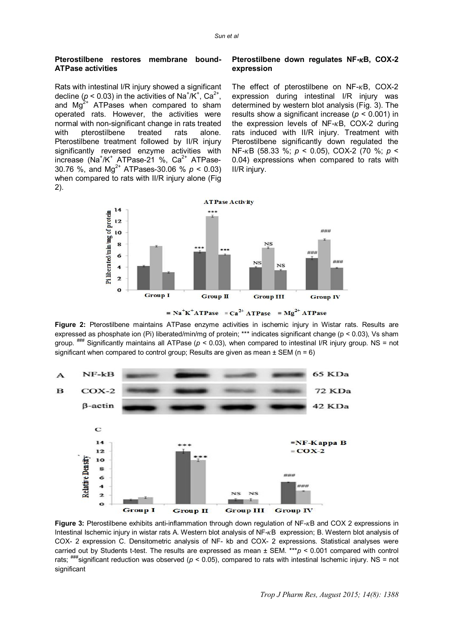#### **Pterostilbene restores membrane bound-ATPase activities**

Rats with intestinal I/R injury showed a significant decline ( $p < 0.03$ ) in the activities of Na<sup>+</sup>/K<sup>+</sup>, Ca<sup>2+</sup>, and  $\text{Ma}^{2+}$  ATPases when compared to sham operated rats. However, the activities were normal with non-significant change in rats treated with pterostilbene treated rats alone. Pterostilbene treatment followed by II/R injury significantly reversed enzyme activities with increase (Na<sup>+</sup>/K<sup>+</sup> ATPase-21 %, Ca<sup>2+</sup> ATPase-30.76 %, and Mg<sup>2+</sup> ATPases-30.06 %  $p < 0.03$ ) when compared to rats with II/R injury alone (Fig. 2).

#### **Pterostilbene down regulates NF-** $\kappa$ **B, COX-2 expression**

The effect of pterostilbene on  $NF-\kappa B$ , COX-2 expression during intestinal I/R injury was determined by western blot analysis (Fig. 3). The results show a significant increase (*p* < 0.001) in the expression levels of  $NF-\kappa B$ , COX-2 during rats induced with II/R injury. Treatment with Pterostilbene significantly down regulated the NF-ߢB (58.33 %; *p* < 0.05), COX-2 (70 %; *p* < 0.04) expressions when compared to rats with II/R injury.



 $N a^+ K^+ A T P a s e = Ca^{2+} A T P a s e = Mg^{2+} A T P a s e$ 

**Figure 2:** Pterostilbene maintains ATPase enzyme activities in ischemic injury in Wistar rats. Results are expressed as phosphate ion (Pi) liberated/min/mg of protein; \*\*\* indicates significant change (p < 0.03), Vs sham group.  $\frac{1}{2}$  Significantly maintains all ATPase ( $p < 0.03$ ), when compared to intestinal I/R injury group. NS = not significant when compared to control group; Results are given as mean  $\pm$  SEM (n = 6)



**Figure 3:** Pterostilbene exhibits anti-inflammation through down regulation of NF-<sub>K</sub>B and COX 2 expressions in Intestinal Ischemic injury in wistar rats A. Western blot analysis of NF- $kB$  expression; B. Western blot analysis of COX- 2 expression C. Densitometric analysis of NF- kb and COX- 2 expressions. Statistical analyses were carried out by Students t-test. The results are expressed as mean ± SEM. \*\*\**p* < 0.001 compared with control rats;  $\frac{+}{+}$ significant reduction was observed ( $p < 0.05$ ), compared to rats with intestinal Ischemic injury. NS = not significant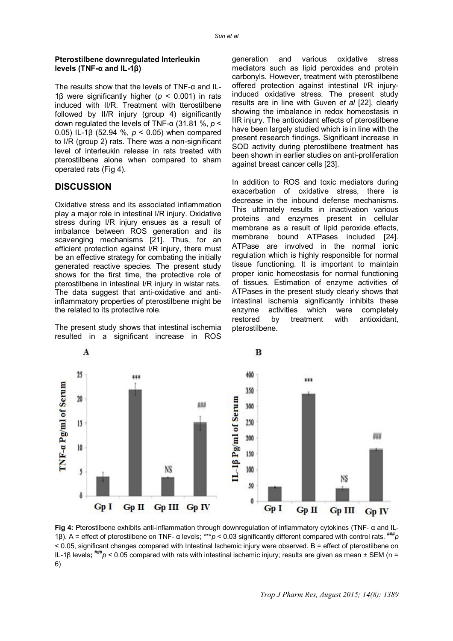#### **Pterostilbene downregulated Interleukin levels (TNF-α and IL-1β)**

The results show that the levels of TNF-α and IL-1β were significantly higher (*p* < 0.001) in rats induced with II/R. Treatment with tterostilbene followed by II/R injury (group 4) significantly down regulated the levels of TNF-α (31.81 %, *p* < 0.05) IL-1β (52.94 %, *p* < 0.05) when compared to I/R (group 2) rats. There was a non-significant level of interleukin release in rats treated with pterostilbene alone when compared to sham operated rats (Fig 4).

## **DISCUSSION**

Oxidative stress and its associated inflammation play a major role in intestinal I/R injury. Oxidative stress during I/R injury ensues as a result of imbalance between ROS generation and its scavenging mechanisms [21]. Thus, for an efficient protection against I/R injury, there must be an effective strategy for combating the initially generated reactive species. The present study shows for the first time, the protective role of pterostilbene in intestinal I/R injury in wistar rats. The data suggest that anti-oxidative and antiinflammatory properties of pterostilbene might be the related to its protective role.

The present study shows that intestinal ischemia resulted in a significant increase in ROS

generation and various oxidative stress mediators such as lipid peroxides and protein carbonyls. However, treatment with pterostilbene offered protection against intestinal I/R injuryinduced oxidative stress. The present study results are in line with Guven *et al* [22], clearly showing the imbalance in redox homeostasis in IIR injury. The antioxidant effects of pterostilbene have been largely studied which is in line with the present research findings. Significant increase in SOD activity during pterostilbene treatment has been shown in earlier studies on anti-proliferation against breast cancer cells [23].

In addition to ROS and toxic mediators during exacerbation of oxidative stress, there is decrease in the inbound defense mechanisms. This ultimately results in inactivation various proteins and enzymes present in cellular membrane as a result of lipid peroxide effects, membrane bound ATPases included [24]. ATPase are involved in the normal ionic regulation which is highly responsible for normal tissue functioning. It is important to maintain proper ionic homeostasis for normal functioning of tissues. Estimation of enzyme activities of ATPases in the present study clearly shows that intestinal ischemia significantly inhibits these enzyme activities which were completely restored by treatment with antioxidant, pterostilbene.



**Fig 4:** Pterostilbene exhibits anti-inflammation through downregulation of inflammatory cytokines (TNF- α and IL-1β). A = effect of pterostilbene on TNF- α levels; \*\*\**p* < 0.03 significantly different compared with control rats.  $\frac{***}{p}$ < 0.05, significant changes compared with Intestinal Ischemic injury were observed. B = effect of pterostilbene on IL-1β levels; <sup>###</sup>*p* < 0.05 compared with rats with intestinal ischemic injury; results are given as mean ± SEM (n = 6)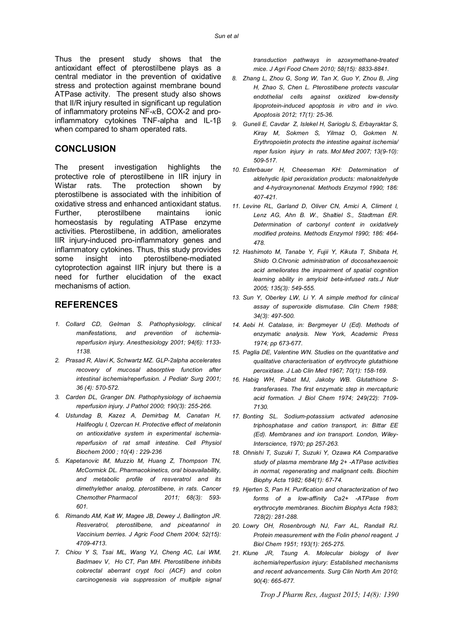Thus the present study shows that the antioxidant effect of pterostilbene plays as a central mediator in the prevention of oxidative stress and protection against membrane bound ATPase activity. The present study also shows that II/R injury resulted in significant up regulation of inflammatory proteins  $NF$ - $\kappa$ B, COX-2 and proinflammatory cytokines TNF-alpha and IL-1β when compared to sham operated rats.

## **CONCLUSION**

The present investigation highlights the protective role of pterostilbene in IIR injury in Wistar rats. The protection shown by pterostilbene is associated with the inhibition of oxidative stress and enhanced antioxidant status. Further, pterostilbene maintains ionic homeostasis by regulating ATPase enzyme activities. Pterostilbene, in addition, ameliorates IIR injury-induced pro-inflammatory genes and inflammatory cytokines. Thus, this study provides some insight into pterostilbene-mediated cytoprotection against IIR injury but there is a need for further elucidation of the exact mechanisms of action.

## **REFERENCES**

- *1. Collard CD, Gelman S. Pathophysiology, clinical manifestations, and prevention of ischemiareperfusion injury. Anesthesiology 2001; 94(6): 1133- 1138.*
- *2. Prasad R, Alavi K, Schwartz MZ. GLP-2alpha accelerates recovery of mucosal absorptive function after intestinal ischemia/reperfusion. J Pediatr Surg 2001; 36 (4): 570-572.*
- *3. Carden DL, Granger DN. Pathophysiology of ischaemia reperfusion injury. J Pathol 2000; 190(3): 255-266.*
- *4. Ustundag B, Kazez A, Demirbag M, Canatan H, Halifeoglu I, Ozercan H. Protective effect of melatonin on antioxidative system in experimental ischemiareperfusion of rat small intestine. Cell Physiol Biochem 2000 ; 10(4) : 229-236*
- *5. Kapetanovic IM, Muzzio M, Huang Z, Thompson TN, McCormick DL. Pharmacokinetics, oral bioavailability, and metabolic profile of resveratrol and its dimethylether analog, pterostilbene, in rats. Cancer Chemother Pharmacol 2011; 68(3): 593- 601.*
- *6. Rimando AM, Kalt W, Magee JB, Dewey J, Ballington JR. Resveratrol, pterostilbene, and piceatannol in Vaccinium berries. J Agric Food Chem 2004; 52(15): 4709-4713.*
- *7. Chiou Y S, Tsai ML, Wang YJ, Cheng AC, Lai WM, Badmaev V, Ho CT, Pan MH. Pterostilbene inhibits colorectal aberrant crypt foci (ACF) and colon carcinogenesis via suppression of multiple signal*

*transduction pathways in azoxymethane-treated mice. J Agri Food Chem 2010; 58(15): 8833-8841.*

- *8. Zhang L, Zhou G, Song W, Tan X, Guo Y, Zhou B, Jing H, Zhao S, Chen L. Pterostilbene protects vascular endothelial cells against oxidized low-density lipoprotein-induced apoptosis in vitro and in vivo. Apoptosis 2012; 17(1): 25-36.*
- *9. Guneli E, Cavdar Z, Islekel H, Sarioglu S, Erbayraktar S, Kiray M, Sokmen S, Yilmaz O, Gokmen N. Erythropoietin protects the intestine against ischemia/ reper fusion injury in rats. Mol Med 2007; 13(9-10): 509-517.*
- *10. Esterbauer H, Cheeseman KH: Determination of aldehydic lipid peroxidation products: malonaldehyde and 4-hydroxynonenal. Methods Enzymol 1990; 186: 407-421.*
- *11. Levine RL, Garland D, Oliver CN, Amici A, Climent I, Lenz AG, Ahn B. W., Shaltiel S., Stadtman ER. Determination of carbonyl content in oxidatively modified proteins. Methods Enzymol 1990; 186: 464- 478.*
- *12. Hashimoto M, Tanabe Y, Fujii Y, Kikuta T, Shibata H, Shido O.Chronic administration of docosahexaenoic acid ameliorates the impairment of spatial cognition learning ability in amyloid beta-infused rats.J Nutr 2005; 135(3): 549-555.*
- *13. Sun Y, Oberley LW, Li Y. A simple method for clinical assay of superoxide dismutase. Clin Chem 1988; 34(3): 497-500.*
- *14. Aebi H. Catalase, in: Bergmeyer U (Ed). Methods of enzymatic analysis. New York, Academic Press 1974; pp 673-677.*
- *15. Paglia DE, Valentine WN. Studies on the quantitative and qualitative characterisation of erythrocyte glutathione peroxidase. J Lab Clin Med 1967; 70(1): 158-169.*
- *16. Habig WH, Pabst MJ, Jakoby WB. Glutathione Stransferases. The first enzymatic step in mercapturic acid formation. J Biol Chem 1974; 249(22): 7109- 7130.*
- *17. Bonting SL. Sodium-potassium activated adenosine triphosphatase and cation transport, in: Bittar EE (Ed). Membranes and ion transport. London, Wiley-Interscience, 1970; pp 257-263.*
- *18. Ohnishi T, Suzuki T, Suzuki Y, Ozawa KA Comparative study of plasma membrane Mg 2+ -ATPase activities in normal, regenerating and malignant cells. Biochim Biophy Acta 1982; 684(1): 67-74.*
- *19. Hjerten S, Pan H. Purification and characterization of two forms of a low-affinity Ca2+ -ATPase from erythrocyte membranes. Biochim Biophys Acta 1983; 728(2): 281-288.*
- *20. Lowry OH, Rosenbrough NJ, Farr AL, Randall RJ. Protein measurement with the Folin phenol reagent. J Biol Chem 1951; 193(1): 265-275.*
- *21. Klune JR, Tsung A. Molecular biology of liver ischemia/reperfusion injury: Established mechanisms and recent advancements. Surg Clin North Am 2010; 90(4): 665-677.*

*Trop J Pharm Res, August 2015; 14(8): 1390*